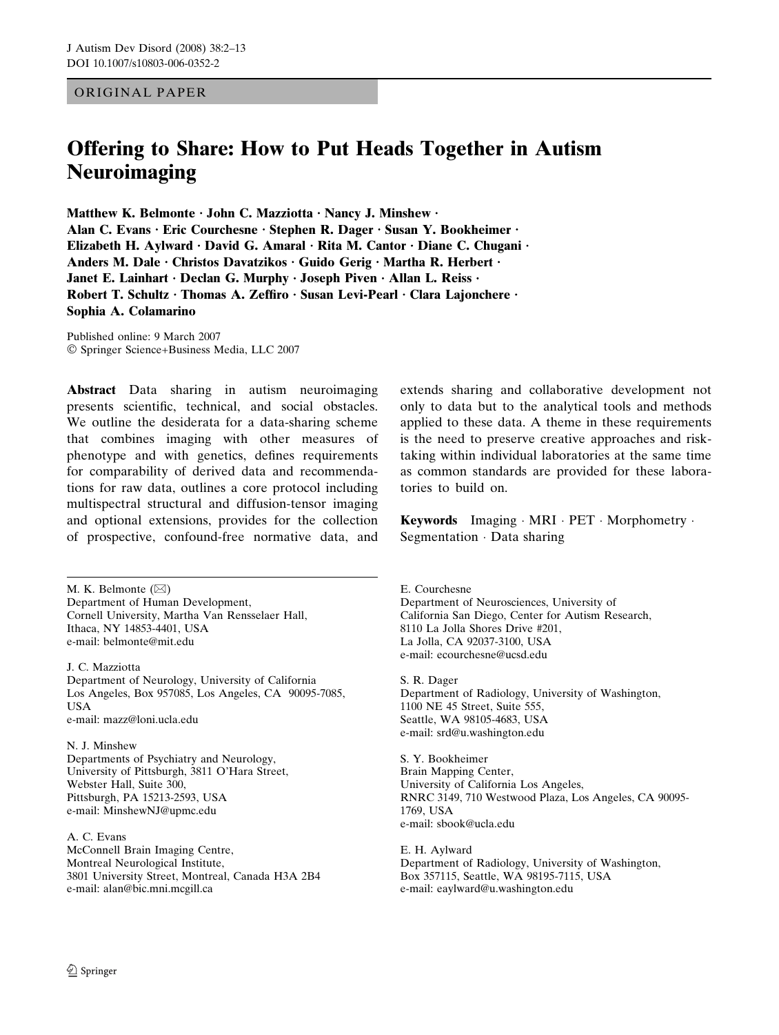# ORIGINAL PAPER

# Offering to Share: How to Put Heads Together in Autism Neuroimaging

Matthew K. Belmonte  $\cdot$  John C. Mazziotta  $\cdot$  Nancy J. Minshew  $\cdot$ Alan C. Evans · Eric Courchesne · Stephen R. Dager · Susan Y. Bookheimer · Elizabeth H. Aylward · David G. Amaral · Rita M. Cantor · Diane C. Chugani · Anders M. Dale · Christos Davatzikos · Guido Gerig · Martha R. Herbert · Janet E. Lainhart · Declan G. Murphy · Joseph Piven · Allan L. Reiss · Robert T. Schultz · Thomas A. Zeffiro · Susan Levi-Pearl · Clara Lajonchere · Sophia A. Colamarino

Published online: 9 March 2007 Springer Science+Business Media, LLC 2007

Abstract Data sharing in autism neuroimaging presents scientific, technical, and social obstacles. We outline the desiderata for a data-sharing scheme that combines imaging with other measures of phenotype and with genetics, defines requirements for comparability of derived data and recommendations for raw data, outlines a core protocol including multispectral structural and diffusion-tensor imaging and optional extensions, provides for the collection of prospective, confound-free normative data, and

M. K. Belmonte  $(\boxtimes)$ Department of Human Development, Cornell University, Martha Van Rensselaer Hall, Ithaca, NY 14853-4401, USA e-mail: belmonte@mit.edu

J. C. Mazziotta

Department of Neurology, University of California Los Angeles, Box 957085, Los Angeles, CA 90095-7085, USA e-mail: mazz@loni.ucla.edu

N. J. Minshew Departments of Psychiatry and Neurology, University of Pittsburgh, 3811 O'Hara Street, Webster Hall, Suite 300, Pittsburgh, PA 15213-2593, USA e-mail: MinshewNJ@upmc.edu

A. C. Evans McConnell Brain Imaging Centre, Montreal Neurological Institute, 3801 University Street, Montreal, Canada H3A 2B4 e-mail: alan@bic.mni.mcgill.ca

extends sharing and collaborative development not only to data but to the analytical tools and methods applied to these data. A theme in these requirements is the need to preserve creative approaches and risktaking within individual laboratories at the same time as common standards are provided for these laboratories to build on.

Keywords Imaging MRI PET Morphometry . Segmentation · Data sharing

E. Courchesne Department of Neurosciences, University of California San Diego, Center for Autism Research, 8110 La Jolla Shores Drive #201, La Jolla, CA 92037-3100, USA e-mail: ecourchesne@ucsd.edu

S. R. Dager Department of Radiology, University of Washington, 1100 NE 45 Street, Suite 555, Seattle, WA 98105-4683, USA e-mail: srd@u.washington.edu

S. Y. Bookheimer Brain Mapping Center, University of California Los Angeles, RNRC 3149, 710 Westwood Plaza, Los Angeles, CA 90095- 1769, USA e-mail: sbook@ucla.edu

E. H. Aylward Department of Radiology, University of Washington, Box 357115, Seattle, WA 98195-7115, USA e-mail: eaylward@u.washington.edu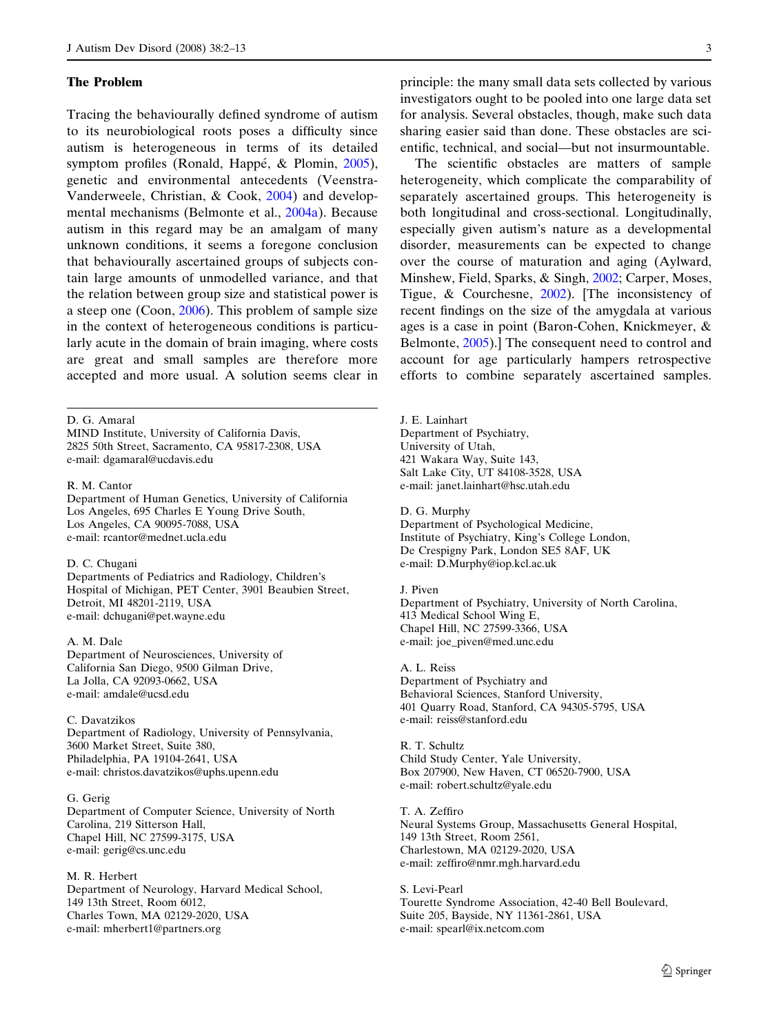#### The Problem

Tracing the behaviourally defined syndrome of autism to its neurobiological roots poses a difficulty since autism is heterogeneous in terms of its detailed symptom profiles (Ronald, Happé, & Plomin, [2005\)](#page-11-0), genetic and environmental antecedents (Veenstra-Vanderweele, Christian, & Cook, [2004\)](#page-11-0) and developmental mechanisms (Belmonte et al., [2004a](#page-10-0)). Because autism in this regard may be an amalgam of many unknown conditions, it seems a foregone conclusion that behaviourally ascertained groups of subjects contain large amounts of unmodelled variance, and that the relation between group size and statistical power is a steep one (Coon, [2006\)](#page-10-0). This problem of sample size in the context of heterogeneous conditions is particularly acute in the domain of brain imaging, where costs are great and small samples are therefore more accepted and more usual. A solution seems clear in

D. G. Amaral

MIND Institute, University of California Davis, 2825 50th Street, Sacramento, CA 95817-2308, USA e-mail: dgamaral@ucdavis.edu

R. M. Cantor

Department of Human Genetics, University of California Los Angeles, 695 Charles E Young Drive South, Los Angeles, CA 90095-7088, USA e-mail: rcantor@mednet.ucla.edu

## D. C. Chugani

Departments of Pediatrics and Radiology, Children's Hospital of Michigan, PET Center, 3901 Beaubien Street, Detroit, MI 48201-2119, USA e-mail: dchugani@pet.wayne.edu

A. M. Dale Department of Neurosciences, University of California San Diego, 9500 Gilman Drive, La Jolla, CA 92093-0662, USA e-mail: amdale@ucsd.edu

#### C. Davatzikos

Department of Radiology, University of Pennsylvania, 3600 Market Street, Suite 380, Philadelphia, PA 19104-2641, USA e-mail: christos.davatzikos@uphs.upenn.edu

#### G. Gerig

Department of Computer Science, University of North Carolina, 219 Sitterson Hall, Chapel Hill, NC 27599-3175, USA e-mail: gerig@cs.unc.edu

#### M. R. Herbert

Department of Neurology, Harvard Medical School, 149 13th Street, Room 6012, Charles Town, MA 02129-2020, USA e-mail: mherbert1@partners.org

principle: the many small data sets collected by various investigators ought to be pooled into one large data set for analysis. Several obstacles, though, make such data sharing easier said than done. These obstacles are scientific, technical, and social—but not insurmountable.

The scientific obstacles are matters of sample heterogeneity, which complicate the comparability of separately ascertained groups. This heterogeneity is both longitudinal and cross-sectional. Longitudinally, especially given autism's nature as a developmental disorder, measurements can be expected to change over the course of maturation and aging (Aylward, Minshew, Field, Sparks, & Singh, [2002](#page-10-0); Carper, Moses, Tigue, & Courchesne, [2002](#page-10-0)). [The inconsistency of recent findings on the size of the amygdala at various ages is a case in point (Baron-Cohen, Knickmeyer, & Belmonte, [2005](#page-10-0)).] The consequent need to control and account for age particularly hampers retrospective efforts to combine separately ascertained samples.

J. E. Lainhart Department of Psychiatry, University of Utah, 421 Wakara Way, Suite 143, Salt Lake City, UT 84108-3528, USA e-mail: janet.lainhart@hsc.utah.edu

D. G. Murphy Department of Psychological Medicine, Institute of Psychiatry, King's College London, De Crespigny Park, London SE5 8AF, UK e-mail: D.Murphy@iop.kcl.ac.uk

#### J. Piven

Department of Psychiatry, University of North Carolina, 413 Medical School Wing E, Chapel Hill, NC 27599-3366, USA e-mail: joe\_piven@med.unc.edu

## A. L. Reiss

Department of Psychiatry and Behavioral Sciences, Stanford University, 401 Quarry Road, Stanford, CA 94305-5795, USA e-mail: reiss@stanford.edu

R. T. Schultz Child Study Center, Yale University, Box 207900, New Haven, CT 06520-7900, USA e-mail: robert.schultz@yale.edu

T. A. Zeffiro Neural Systems Group, Massachusetts General Hospital, 149 13th Street, Room 2561, Charlestown, MA 02129-2020, USA e-mail: zeffiro@nmr.mgh.harvard.edu

S. Levi-Pearl Tourette Syndrome Association, 42-40 Bell Boulevard, Suite 205, Bayside, NY 11361-2861, USA e-mail: spearl@ix.netcom.com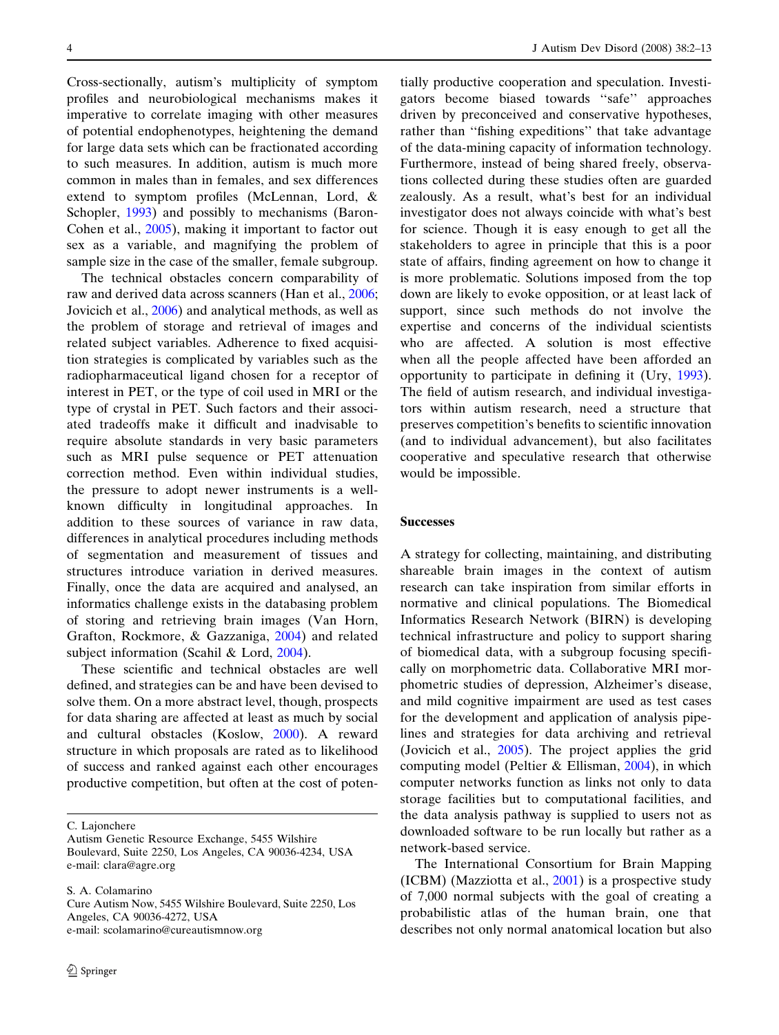Cross-sectionally, autism's multiplicity of symptom profiles and neurobiological mechanisms makes it imperative to correlate imaging with other measures of potential endophenotypes, heightening the demand for large data sets which can be fractionated according to such measures. In addition, autism is much more common in males than in females, and sex differences extend to symptom profiles (McLennan, Lord, & Schopler, [1993](#page-11-0)) and possibly to mechanisms (Baron-Cohen et al., [2005](#page-10-0)), making it important to factor out sex as a variable, and magnifying the problem of sample size in the case of the smaller, female subgroup.

The technical obstacles concern comparability of raw and derived data across scanners (Han et al., [2006;](#page-10-0) Jovicich et al., [2006](#page-10-0)) and analytical methods, as well as the problem of storage and retrieval of images and related subject variables. Adherence to fixed acquisition strategies is complicated by variables such as the radiopharmaceutical ligand chosen for a receptor of interest in PET, or the type of coil used in MRI or the type of crystal in PET. Such factors and their associated tradeoffs make it difficult and inadvisable to require absolute standards in very basic parameters such as MRI pulse sequence or PET attenuation correction method. Even within individual studies, the pressure to adopt newer instruments is a wellknown difficulty in longitudinal approaches. In addition to these sources of variance in raw data, differences in analytical procedures including methods of segmentation and measurement of tissues and structures introduce variation in derived measures. Finally, once the data are acquired and analysed, an informatics challenge exists in the databasing problem of storing and retrieving brain images (Van Horn, Grafton, Rockmore, & Gazzaniga, [2004](#page-11-0)) and related subject information (Scahil & Lord, [2004\)](#page-11-0).

These scientific and technical obstacles are well defined, and strategies can be and have been devised to solve them. On a more abstract level, though, prospects for data sharing are affected at least as much by social and cultural obstacles (Koslow, [2000\)](#page-10-0). A reward structure in which proposals are rated as to likelihood of success and ranked against each other encourages productive competition, but often at the cost of poten-

C. Lajonchere

S. A. Colamarino

Cure Autism Now, 5455 Wilshire Boulevard, Suite 2250, Los Angeles, CA 90036-4272, USA e-mail: scolamarino@cureautismnow.org

tially productive cooperation and speculation. Investigators become biased towards ''safe'' approaches driven by preconceived and conservative hypotheses, rather than ''fishing expeditions'' that take advantage of the data-mining capacity of information technology. Furthermore, instead of being shared freely, observations collected during these studies often are guarded zealously. As a result, what's best for an individual investigator does not always coincide with what's best for science. Though it is easy enough to get all the stakeholders to agree in principle that this is a poor state of affairs, finding agreement on how to change it is more problematic. Solutions imposed from the top down are likely to evoke opposition, or at least lack of support, since such methods do not involve the expertise and concerns of the individual scientists who are affected. A solution is most effective when all the people affected have been afforded an opportunity to participate in defining it (Ury, [1993\)](#page-11-0). The field of autism research, and individual investigators within autism research, need a structure that preserves competition's benefits to scientific innovation (and to individual advancement), but also facilitates cooperative and speculative research that otherwise would be impossible.

# **Successes**

A strategy for collecting, maintaining, and distributing shareable brain images in the context of autism research can take inspiration from similar efforts in normative and clinical populations. The Biomedical Informatics Research Network (BIRN) is developing technical infrastructure and policy to support sharing of biomedical data, with a subgroup focusing specifically on morphometric data. Collaborative MRI morphometric studies of depression, Alzheimer's disease, and mild cognitive impairment are used as test cases for the development and application of analysis pipelines and strategies for data archiving and retrieval (Jovicich et al., [2005\)](#page-10-0). The project applies the grid computing model (Peltier & Ellisman, [2004\)](#page-11-0), in which computer networks function as links not only to data storage facilities but to computational facilities, and the data analysis pathway is supplied to users not as downloaded software to be run locally but rather as a network-based service.

The International Consortium for Brain Mapping (ICBM) (Mazziotta et al., [2001\)](#page-11-0) is a prospective study of 7,000 normal subjects with the goal of creating a probabilistic atlas of the human brain, one that describes not only normal anatomical location but also

Autism Genetic Resource Exchange, 5455 Wilshire Boulevard, Suite 2250, Los Angeles, CA 90036-4234, USA e-mail: clara@agre.org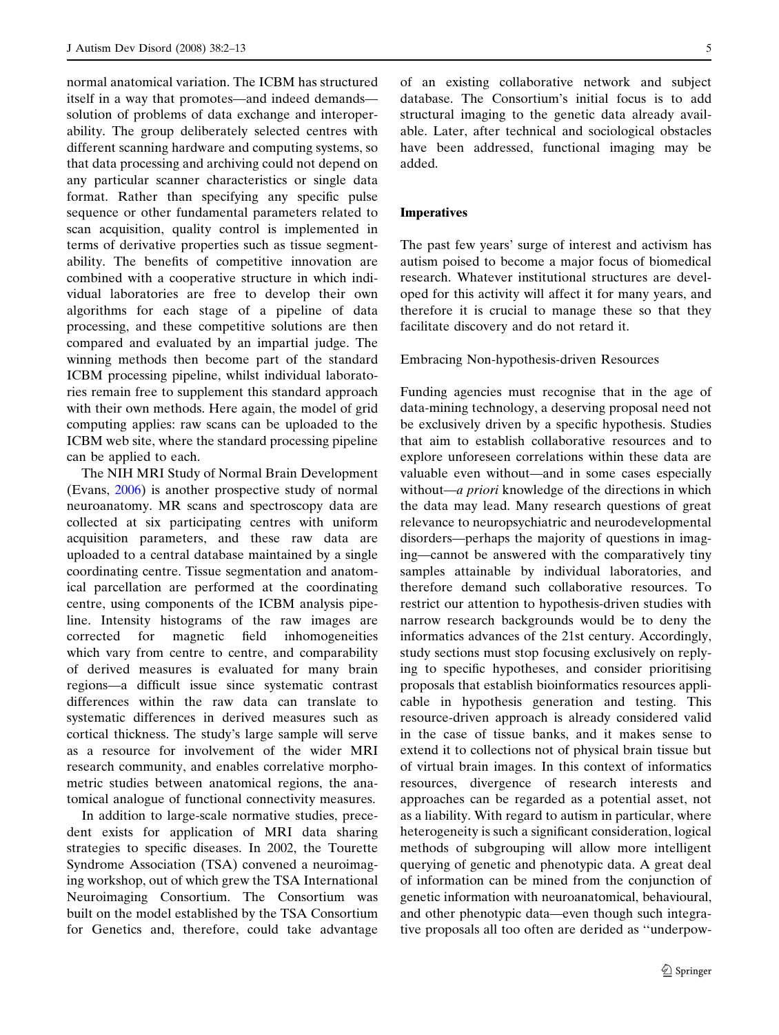normal anatomical variation. The ICBM has structured itself in a way that promotes—and indeed demands solution of problems of data exchange and interoperability. The group deliberately selected centres with different scanning hardware and computing systems, so that data processing and archiving could not depend on any particular scanner characteristics or single data format. Rather than specifying any specific pulse sequence or other fundamental parameters related to scan acquisition, quality control is implemented in terms of derivative properties such as tissue segmentability. The benefits of competitive innovation are combined with a cooperative structure in which individual laboratories are free to develop their own algorithms for each stage of a pipeline of data processing, and these competitive solutions are then compared and evaluated by an impartial judge. The winning methods then become part of the standard ICBM processing pipeline, whilst individual laboratories remain free to supplement this standard approach with their own methods. Here again, the model of grid computing applies: raw scans can be uploaded to the ICBM web site, where the standard processing pipeline can be applied to each.

The NIH MRI Study of Normal Brain Development (Evans, [2006\)](#page-10-0) is another prospective study of normal neuroanatomy. MR scans and spectroscopy data are collected at six participating centres with uniform acquisition parameters, and these raw data are uploaded to a central database maintained by a single coordinating centre. Tissue segmentation and anatomical parcellation are performed at the coordinating centre, using components of the ICBM analysis pipeline. Intensity histograms of the raw images are corrected for magnetic field inhomogeneities which vary from centre to centre, and comparability of derived measures is evaluated for many brain regions—a difficult issue since systematic contrast differences within the raw data can translate to systematic differences in derived measures such as cortical thickness. The study's large sample will serve as a resource for involvement of the wider MRI research community, and enables correlative morphometric studies between anatomical regions, the anatomical analogue of functional connectivity measures.

In addition to large-scale normative studies, precedent exists for application of MRI data sharing strategies to specific diseases. In 2002, the Tourette Syndrome Association (TSA) convened a neuroimaging workshop, out of which grew the TSA International Neuroimaging Consortium. The Consortium was built on the model established by the TSA Consortium for Genetics and, therefore, could take advantage of an existing collaborative network and subject database. The Consortium's initial focus is to add structural imaging to the genetic data already available. Later, after technical and sociological obstacles have been addressed, functional imaging may be added.

# Imperatives

The past few years' surge of interest and activism has autism poised to become a major focus of biomedical research. Whatever institutional structures are developed for this activity will affect it for many years, and therefore it is crucial to manage these so that they facilitate discovery and do not retard it.

Embracing Non-hypothesis-driven Resources

Funding agencies must recognise that in the age of data-mining technology, a deserving proposal need not be exclusively driven by a specific hypothesis. Studies that aim to establish collaborative resources and to explore unforeseen correlations within these data are valuable even without—and in some cases especially without—a *priori* knowledge of the directions in which the data may lead. Many research questions of great relevance to neuropsychiatric and neurodevelopmental disorders—perhaps the majority of questions in imaging—cannot be answered with the comparatively tiny samples attainable by individual laboratories, and therefore demand such collaborative resources. To restrict our attention to hypothesis-driven studies with narrow research backgrounds would be to deny the informatics advances of the 21st century. Accordingly, study sections must stop focusing exclusively on replying to specific hypotheses, and consider prioritising proposals that establish bioinformatics resources applicable in hypothesis generation and testing. This resource-driven approach is already considered valid in the case of tissue banks, and it makes sense to extend it to collections not of physical brain tissue but of virtual brain images. In this context of informatics resources, divergence of research interests and approaches can be regarded as a potential asset, not as a liability. With regard to autism in particular, where heterogeneity is such a significant consideration, logical methods of subgrouping will allow more intelligent querying of genetic and phenotypic data. A great deal of information can be mined from the conjunction of genetic information with neuroanatomical, behavioural, and other phenotypic data—even though such integrative proposals all too often are derided as ''underpow-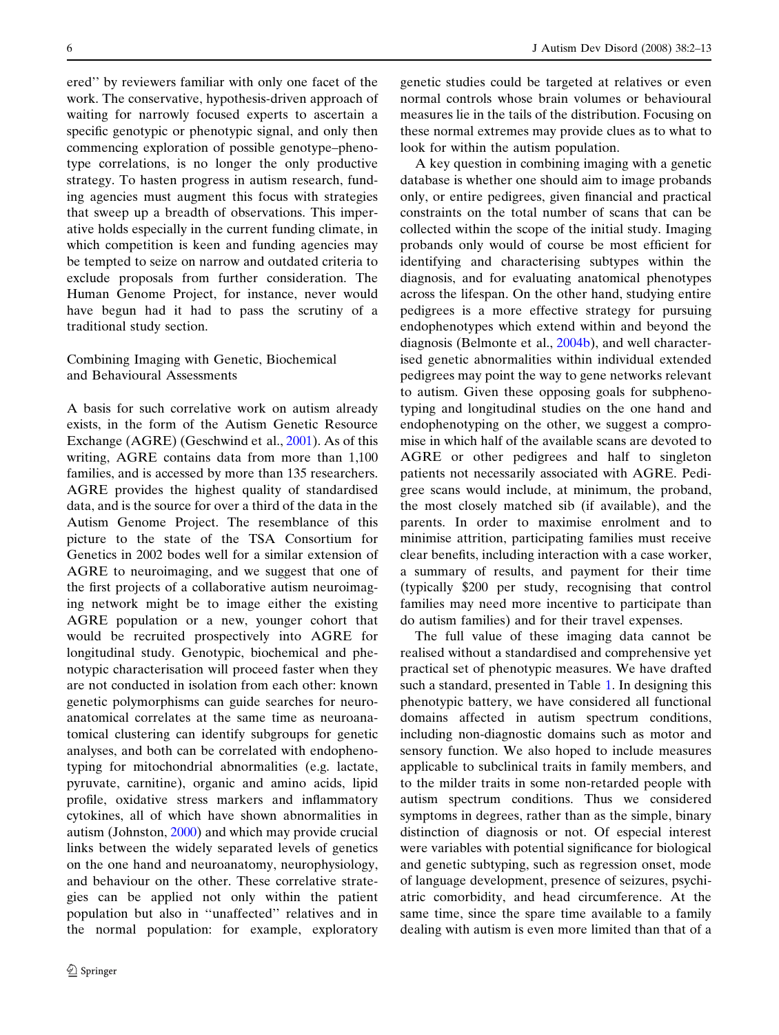ered'' by reviewers familiar with only one facet of the work. The conservative, hypothesis-driven approach of waiting for narrowly focused experts to ascertain a specific genotypic or phenotypic signal, and only then commencing exploration of possible genotype–phenotype correlations, is no longer the only productive strategy. To hasten progress in autism research, funding agencies must augment this focus with strategies that sweep up a breadth of observations. This imperative holds especially in the current funding climate, in which competition is keen and funding agencies may be tempted to seize on narrow and outdated criteria to exclude proposals from further consideration. The Human Genome Project, for instance, never would have begun had it had to pass the scrutiny of a traditional study section.

# Combining Imaging with Genetic, Biochemical and Behavioural Assessments

A basis for such correlative work on autism already exists, in the form of the Autism Genetic Resource Exchange (AGRE) (Geschwind et al., [2001](#page-10-0)). As of this writing, AGRE contains data from more than 1,100 families, and is accessed by more than 135 researchers. AGRE provides the highest quality of standardised data, and is the source for over a third of the data in the Autism Genome Project. The resemblance of this picture to the state of the TSA Consortium for Genetics in 2002 bodes well for a similar extension of AGRE to neuroimaging, and we suggest that one of the first projects of a collaborative autism neuroimaging network might be to image either the existing AGRE population or a new, younger cohort that would be recruited prospectively into AGRE for longitudinal study. Genotypic, biochemical and phenotypic characterisation will proceed faster when they are not conducted in isolation from each other: known genetic polymorphisms can guide searches for neuroanatomical correlates at the same time as neuroanatomical clustering can identify subgroups for genetic analyses, and both can be correlated with endophenotyping for mitochondrial abnormalities (e.g. lactate, pyruvate, carnitine), organic and amino acids, lipid profile, oxidative stress markers and inflammatory cytokines, all of which have shown abnormalities in autism (Johnston, [2000\)](#page-10-0) and which may provide crucial links between the widely separated levels of genetics on the one hand and neuroanatomy, neurophysiology, and behaviour on the other. These correlative strategies can be applied not only within the patient population but also in ''unaffected'' relatives and in the normal population: for example, exploratory genetic studies could be targeted at relatives or even normal controls whose brain volumes or behavioural measures lie in the tails of the distribution. Focusing on these normal extremes may provide clues as to what to look for within the autism population.

A key question in combining imaging with a genetic database is whether one should aim to image probands only, or entire pedigrees, given financial and practical constraints on the total number of scans that can be collected within the scope of the initial study. Imaging probands only would of course be most efficient for identifying and characterising subtypes within the diagnosis, and for evaluating anatomical phenotypes across the lifespan. On the other hand, studying entire pedigrees is a more effective strategy for pursuing endophenotypes which extend within and beyond the diagnosis (Belmonte et al., [2004b](#page-10-0)), and well characterised genetic abnormalities within individual extended pedigrees may point the way to gene networks relevant to autism. Given these opposing goals for subphenotyping and longitudinal studies on the one hand and endophenotyping on the other, we suggest a compromise in which half of the available scans are devoted to AGRE or other pedigrees and half to singleton patients not necessarily associated with AGRE. Pedigree scans would include, at minimum, the proband, the most closely matched sib (if available), and the parents. In order to maximise enrolment and to minimise attrition, participating families must receive clear benefits, including interaction with a case worker, a summary of results, and payment for their time (typically \$200 per study, recognising that control families may need more incentive to participate than do autism families) and for their travel expenses.

The full value of these imaging data cannot be realised without a standardised and comprehensive yet practical set of phenotypic measures. We have drafted such a standard, presented in Table [1.](#page-5-0) In designing this phenotypic battery, we have considered all functional domains affected in autism spectrum conditions, including non-diagnostic domains such as motor and sensory function. We also hoped to include measures applicable to subclinical traits in family members, and to the milder traits in some non-retarded people with autism spectrum conditions. Thus we considered symptoms in degrees, rather than as the simple, binary distinction of diagnosis or not. Of especial interest were variables with potential significance for biological and genetic subtyping, such as regression onset, mode of language development, presence of seizures, psychiatric comorbidity, and head circumference. At the same time, since the spare time available to a family dealing with autism is even more limited than that of a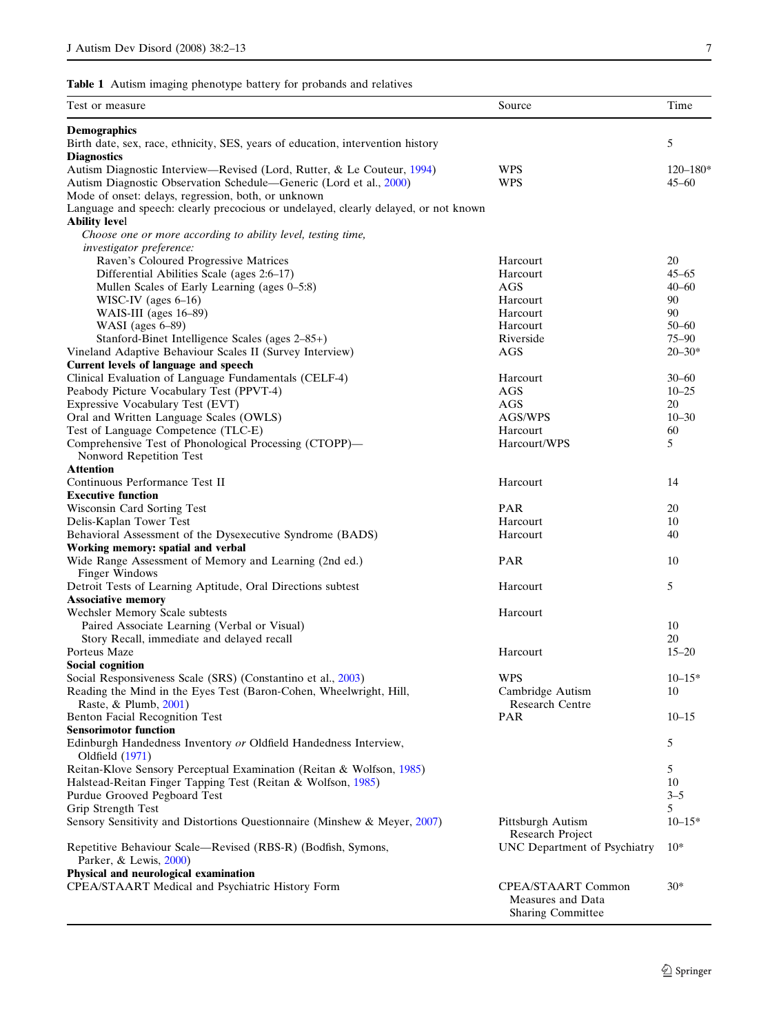<span id="page-5-0"></span>

| Test or measure                                                                      | Source                                  | Time       |
|--------------------------------------------------------------------------------------|-----------------------------------------|------------|
| Demographics                                                                         |                                         |            |
| Birth date, sex, race, ethnicity, SES, years of education, intervention history      |                                         | 5          |
| <b>Diagnostics</b>                                                                   |                                         |            |
| Autism Diagnostic Interview—Revised (Lord, Rutter, & Le Couteur, 1994)               | <b>WPS</b>                              | 120-180*   |
| Autism Diagnostic Observation Schedule-Generic (Lord et al., 2000)                   | <b>WPS</b>                              | $45 - 60$  |
| Mode of onset: delays, regression, both, or unknown                                  |                                         |            |
| Language and speech: clearly precocious or undelayed, clearly delayed, or not known  |                                         |            |
| <b>Ability level</b><br>Choose one or more according to ability level, testing time, |                                         |            |
| investigator preference:                                                             |                                         |            |
| Raven's Coloured Progressive Matrices                                                | Harcourt                                | 20         |
| Differential Abilities Scale (ages 2:6-17)                                           | Harcourt                                | $45 - 65$  |
| Mullen Scales of Early Learning (ages 0-5:8)                                         | AGS                                     | $40 - 60$  |
| WISC-IV (ages $6-16$ )                                                               | Harcourt                                | 90         |
| WAIS-III (ages 16–89)                                                                | Harcourt                                | 90         |
| WASI (ages 6–89)                                                                     | Harcourt                                | $50 - 60$  |
| Stanford-Binet Intelligence Scales (ages 2–85+)                                      | Riverside                               | $75 - 90$  |
| Vineland Adaptive Behaviour Scales II (Survey Interview)                             | AGS                                     | $20 - 30*$ |
| <b>Current levels of language and speech</b>                                         |                                         |            |
| Clinical Evaluation of Language Fundamentals (CELF-4)                                | Harcourt                                | $30 - 60$  |
| Peabody Picture Vocabulary Test (PPVT-4)                                             | AGS                                     | $10 - 25$  |
| Expressive Vocabulary Test (EVT)                                                     | AGS                                     | 20         |
| Oral and Written Language Scales (OWLS)                                              | AGS/WPS                                 | $10 - 30$  |
| Test of Language Competence (TLC-E)                                                  | Harcourt                                | 60         |
| Comprehensive Test of Phonological Processing (CTOPP)—                               | Harcourt/WPS                            | 5          |
| Nonword Repetition Test                                                              |                                         |            |
| <b>Attention</b>                                                                     |                                         |            |
| Continuous Performance Test II                                                       | Harcourt                                | 14         |
| <b>Executive function</b>                                                            |                                         |            |
| Wisconsin Card Sorting Test                                                          | PAR                                     | 20         |
| Delis-Kaplan Tower Test                                                              | Harcourt                                | 10         |
| Behavioral Assessment of the Dysexecutive Syndrome (BADS)                            | Harcourt                                | 40         |
| Working memory: spatial and verbal                                                   |                                         |            |
| Wide Range Assessment of Memory and Learning (2nd ed.)                               | <b>PAR</b>                              | 10         |
| Finger Windows                                                                       |                                         | 5          |
| Detroit Tests of Learning Aptitude, Oral Directions subtest                          | Harcourt                                |            |
| <b>Associative memory</b><br>Wechsler Memory Scale subtests                          | Harcourt                                |            |
| Paired Associate Learning (Verbal or Visual)                                         |                                         | 10         |
| Story Recall, immediate and delayed recall                                           |                                         | 20         |
| Porteus Maze                                                                         | Harcourt                                | $15 - 20$  |
| <b>Social cognition</b>                                                              |                                         |            |
| Social Responsiveness Scale (SRS) (Constantino et al., 2003)                         | <b>WPS</b>                              | $10 - 15*$ |
| Reading the Mind in the Eyes Test (Baron-Cohen, Wheelwright, Hill,                   | Cambridge Autism                        | 10         |
| Raste, & Plumb, 2001)                                                                | <b>Research Centre</b>                  |            |
| <b>Benton Facial Recognition Test</b>                                                | <b>PAR</b>                              | $10 - 15$  |
| <b>Sensorimotor function</b>                                                         |                                         |            |
| Edinburgh Handedness Inventory or Oldfield Handedness Interview,                     |                                         | 5          |
| Oldfield $(1971)$                                                                    |                                         |            |
| Reitan-Klove Sensory Perceptual Examination (Reitan & Wolfson, 1985)                 |                                         | 5          |
| Halstead-Reitan Finger Tapping Test (Reitan & Wolfson, 1985)                         |                                         | 10         |
| Purdue Grooved Pegboard Test                                                         |                                         | $3 - 5$    |
| Grip Strength Test                                                                   |                                         | 5          |
| Sensory Sensitivity and Distortions Questionnaire (Minshew & Meyer, 2007)            | Pittsburgh Autism                       | $10 - 15*$ |
|                                                                                      | Research Project                        |            |
| Repetitive Behaviour Scale—Revised (RBS-R) (Bodfish, Symons,                         | UNC Department of Psychiatry            | $10*$      |
| Parker, & Lewis, 2000)                                                               |                                         |            |
| Physical and neurological examination                                                |                                         |            |
| CPEA/STAART Medical and Psychiatric History Form                                     | CPEA/STAART Common<br>Measures and Data | $30*$      |
|                                                                                      | <b>Sharing Committee</b>                |            |
|                                                                                      |                                         |            |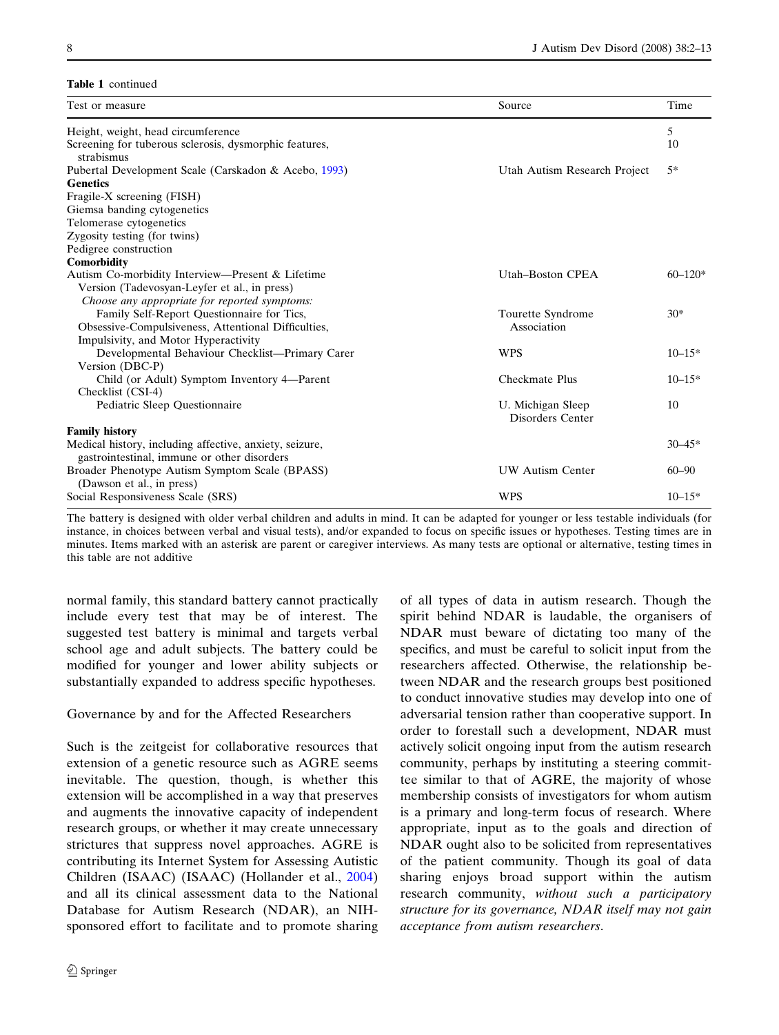## Table 1 continued

| Test or measure                                                             | Source                                | Time        |
|-----------------------------------------------------------------------------|---------------------------------------|-------------|
| Height, weight, head circumference                                          |                                       | 5           |
| Screening for tuberous sclerosis, dysmorphic features,<br>strabismus        |                                       | 10          |
| Pubertal Development Scale (Carskadon & Acebo, 1993)                        | Utah Autism Research Project          | $5*$        |
| <b>Genetics</b>                                                             |                                       |             |
| Fragile-X screening (FISH)                                                  |                                       |             |
| Giemsa banding cytogenetics                                                 |                                       |             |
| Telomerase cytogenetics                                                     |                                       |             |
| Zygosity testing (for twins)                                                |                                       |             |
| Pedigree construction                                                       |                                       |             |
| Comorbidity                                                                 |                                       |             |
| Autism Co-morbidity Interview-Present & Lifetime                            | Utah-Boston CPEA                      | $60 - 120*$ |
| Version (Tadevosyan-Leyfer et al., in press)                                |                                       |             |
| Choose any appropriate for reported symptoms:                               |                                       |             |
| Family Self-Report Questionnaire for Tics,                                  | Tourette Syndrome                     | $30*$       |
| Obsessive-Compulsiveness, Attentional Difficulties,                         | Association                           |             |
| Impulsivity, and Motor Hyperactivity                                        |                                       |             |
| Developmental Behaviour Checklist-Primary Carer                             | <b>WPS</b>                            | $10 - 15*$  |
| Version (DBC-P)                                                             |                                       |             |
| Child (or Adult) Symptom Inventory 4-Parent                                 | Checkmate Plus                        | $10 - 15*$  |
| Checklist (CSI-4)                                                           |                                       |             |
| Pediatric Sleep Questionnaire                                               | U. Michigan Sleep<br>Disorders Center | 10          |
| <b>Family history</b>                                                       |                                       |             |
| Medical history, including affective, anxiety, seizure,                     |                                       | $30 - 45*$  |
| gastrointestinal, immune or other disorders                                 |                                       |             |
| Broader Phenotype Autism Symptom Scale (BPASS)<br>(Dawson et al., in press) | <b>UW</b> Autism Center               | $60 - 90$   |
| Social Responsiveness Scale (SRS)                                           | <b>WPS</b>                            | $10 - 15*$  |

The battery is designed with older verbal children and adults in mind. It can be adapted for younger or less testable individuals (for instance, in choices between verbal and visual tests), and/or expanded to focus on specific issues or hypotheses. Testing times are in minutes. Items marked with an asterisk are parent or caregiver interviews. As many tests are optional or alternative, testing times in this table are not additive

normal family, this standard battery cannot practically include every test that may be of interest. The suggested test battery is minimal and targets verbal school age and adult subjects. The battery could be modified for younger and lower ability subjects or substantially expanded to address specific hypotheses.

# Governance by and for the Affected Researchers

Such is the zeitgeist for collaborative resources that extension of a genetic resource such as AGRE seems inevitable. The question, though, is whether this extension will be accomplished in a way that preserves and augments the innovative capacity of independent research groups, or whether it may create unnecessary strictures that suppress novel approaches. AGRE is contributing its Internet System for Assessing Autistic Children (ISAAC) (ISAAC) (Hollander et al., [2004](#page-10-0)) and all its clinical assessment data to the National Database for Autism Research (NDAR), an NIHsponsored effort to facilitate and to promote sharing of all types of data in autism research. Though the spirit behind NDAR is laudable, the organisers of NDAR must beware of dictating too many of the specifics, and must be careful to solicit input from the researchers affected. Otherwise, the relationship between NDAR and the research groups best positioned to conduct innovative studies may develop into one of adversarial tension rather than cooperative support. In order to forestall such a development, NDAR must actively solicit ongoing input from the autism research community, perhaps by instituting a steering committee similar to that of AGRE, the majority of whose membership consists of investigators for whom autism is a primary and long-term focus of research. Where appropriate, input as to the goals and direction of NDAR ought also to be solicited from representatives of the patient community. Though its goal of data sharing enjoys broad support within the autism research community, without such a participatory structure for its governance, NDAR itself may not gain acceptance from autism researchers.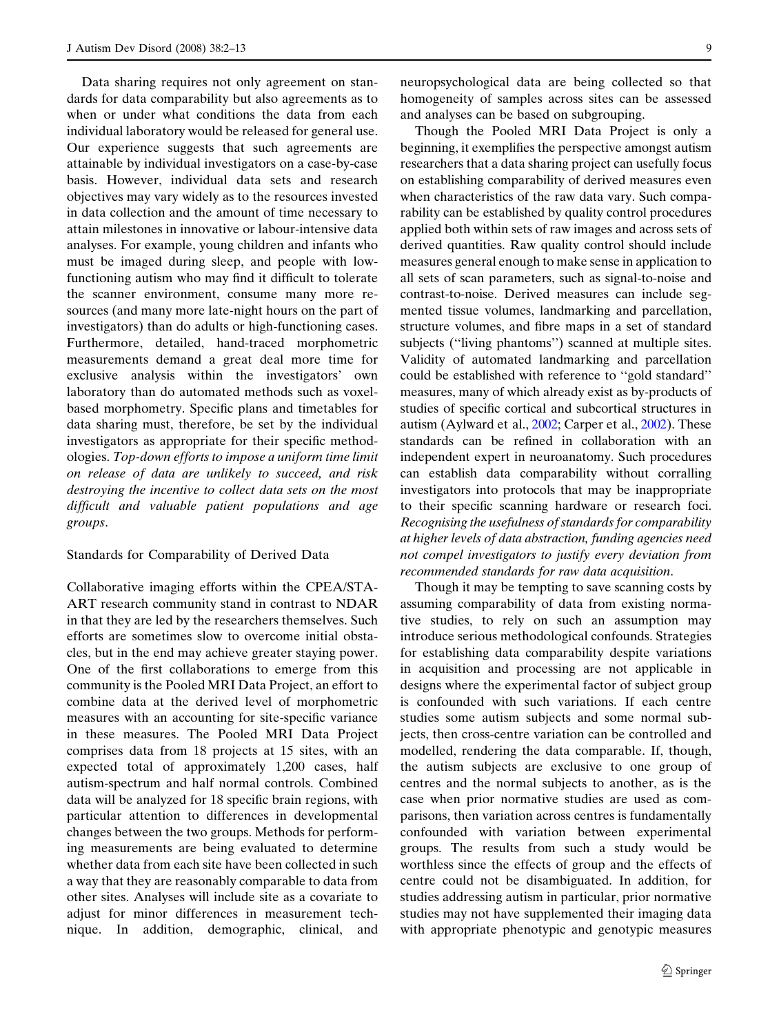Data sharing requires not only agreement on standards for data comparability but also agreements as to when or under what conditions the data from each individual laboratory would be released for general use. Our experience suggests that such agreements are attainable by individual investigators on a case-by-case basis. However, individual data sets and research objectives may vary widely as to the resources invested in data collection and the amount of time necessary to attain milestones in innovative or labour-intensive data analyses. For example, young children and infants who must be imaged during sleep, and people with lowfunctioning autism who may find it difficult to tolerate the scanner environment, consume many more resources (and many more late-night hours on the part of investigators) than do adults or high-functioning cases. Furthermore, detailed, hand-traced morphometric measurements demand a great deal more time for exclusive analysis within the investigators' own laboratory than do automated methods such as voxelbased morphometry. Specific plans and timetables for data sharing must, therefore, be set by the individual investigators as appropriate for their specific methodologies. Top-down efforts to impose a uniform time limit on release of data are unlikely to succeed, and risk destroying the incentive to collect data sets on the most difficult and valuable patient populations and age groups.

# Standards for Comparability of Derived Data

Collaborative imaging efforts within the CPEA/STA-ART research community stand in contrast to NDAR in that they are led by the researchers themselves. Such efforts are sometimes slow to overcome initial obstacles, but in the end may achieve greater staying power. One of the first collaborations to emerge from this community is the Pooled MRI Data Project, an effort to combine data at the derived level of morphometric measures with an accounting for site-specific variance in these measures. The Pooled MRI Data Project comprises data from 18 projects at 15 sites, with an expected total of approximately 1,200 cases, half autism-spectrum and half normal controls. Combined data will be analyzed for 18 specific brain regions, with particular attention to differences in developmental changes between the two groups. Methods for performing measurements are being evaluated to determine whether data from each site have been collected in such a way that they are reasonably comparable to data from other sites. Analyses will include site as a covariate to adjust for minor differences in measurement technique. In addition, demographic, clinical, and neuropsychological data are being collected so that homogeneity of samples across sites can be assessed and analyses can be based on subgrouping.

Though the Pooled MRI Data Project is only a beginning, it exemplifies the perspective amongst autism researchers that a data sharing project can usefully focus on establishing comparability of derived measures even when characteristics of the raw data vary. Such comparability can be established by quality control procedures applied both within sets of raw images and across sets of derived quantities. Raw quality control should include measures general enough to make sense in application to all sets of scan parameters, such as signal-to-noise and contrast-to-noise. Derived measures can include segmented tissue volumes, landmarking and parcellation, structure volumes, and fibre maps in a set of standard subjects ("living phantoms") scanned at multiple sites. Validity of automated landmarking and parcellation could be established with reference to ''gold standard'' measures, many of which already exist as by-products of studies of specific cortical and subcortical structures in autism (Aylward et al., [2002](#page-10-0); Carper et al., [2002\)](#page-10-0). These standards can be refined in collaboration with an independent expert in neuroanatomy. Such procedures can establish data comparability without corralling investigators into protocols that may be inappropriate to their specific scanning hardware or research foci. Recognising the usefulness of standards for comparability at higher levels of data abstraction, funding agencies need not compel investigators to justify every deviation from recommended standards for raw data acquisition.

Though it may be tempting to save scanning costs by assuming comparability of data from existing normative studies, to rely on such an assumption may introduce serious methodological confounds. Strategies for establishing data comparability despite variations in acquisition and processing are not applicable in designs where the experimental factor of subject group is confounded with such variations. If each centre studies some autism subjects and some normal subjects, then cross-centre variation can be controlled and modelled, rendering the data comparable. If, though, the autism subjects are exclusive to one group of centres and the normal subjects to another, as is the case when prior normative studies are used as comparisons, then variation across centres is fundamentally confounded with variation between experimental groups. The results from such a study would be worthless since the effects of group and the effects of centre could not be disambiguated. In addition, for studies addressing autism in particular, prior normative studies may not have supplemented their imaging data with appropriate phenotypic and genotypic measures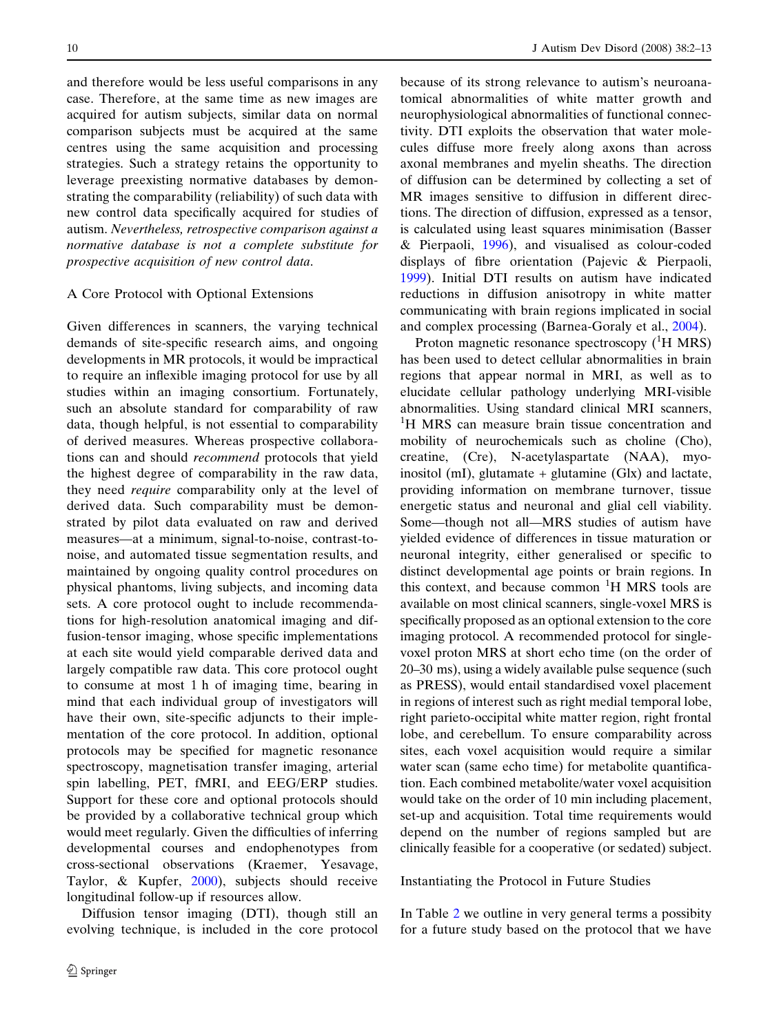and therefore would be less useful comparisons in any case. Therefore, at the same time as new images are acquired for autism subjects, similar data on normal comparison subjects must be acquired at the same centres using the same acquisition and processing strategies. Such a strategy retains the opportunity to leverage preexisting normative databases by demonstrating the comparability (reliability) of such data with new control data specifically acquired for studies of autism. Nevertheless, retrospective comparison against a normative database is not a complete substitute for prospective acquisition of new control data.

# A Core Protocol with Optional Extensions

Given differences in scanners, the varying technical demands of site-specific research aims, and ongoing developments in MR protocols, it would be impractical to require an inflexible imaging protocol for use by all studies within an imaging consortium. Fortunately, such an absolute standard for comparability of raw data, though helpful, is not essential to comparability of derived measures. Whereas prospective collaborations can and should recommend protocols that yield the highest degree of comparability in the raw data, they need require comparability only at the level of derived data. Such comparability must be demonstrated by pilot data evaluated on raw and derived measures—at a minimum, signal-to-noise, contrast-tonoise, and automated tissue segmentation results, and maintained by ongoing quality control procedures on physical phantoms, living subjects, and incoming data sets. A core protocol ought to include recommendations for high-resolution anatomical imaging and diffusion-tensor imaging, whose specific implementations at each site would yield comparable derived data and largely compatible raw data. This core protocol ought to consume at most 1 h of imaging time, bearing in mind that each individual group of investigators will have their own, site-specific adjuncts to their implementation of the core protocol. In addition, optional protocols may be specified for magnetic resonance spectroscopy, magnetisation transfer imaging, arterial spin labelling, PET, fMRI, and EEG/ERP studies. Support for these core and optional protocols should be provided by a collaborative technical group which would meet regularly. Given the difficulties of inferring developmental courses and endophenotypes from cross-sectional observations (Kraemer, Yesavage, Taylor, & Kupfer, [2000](#page-11-0)), subjects should receive longitudinal follow-up if resources allow.

Diffusion tensor imaging (DTI), though still an evolving technique, is included in the core protocol

because of its strong relevance to autism's neuroanatomical abnormalities of white matter growth and neurophysiological abnormalities of functional connectivity. DTI exploits the observation that water molecules diffuse more freely along axons than across axonal membranes and myelin sheaths. The direction of diffusion can be determined by collecting a set of MR images sensitive to diffusion in different directions. The direction of diffusion, expressed as a tensor, is calculated using least squares minimisation (Basser & Pierpaoli, [1996\)](#page-10-0), and visualised as colour-coded displays of fibre orientation (Pajevic & Pierpaoli, [1999](#page-11-0)). Initial DTI results on autism have indicated reductions in diffusion anisotropy in white matter communicating with brain regions implicated in social and complex processing (Barnea-Goraly et al., [2004](#page-10-0)).

Proton magnetic resonance spectroscopy  $(^1H$  MRS) has been used to detect cellular abnormalities in brain regions that appear normal in MRI, as well as to elucidate cellular pathology underlying MRI-visible abnormalities. Using standard clinical MRI scanners, <sup>1</sup>H MRS can measure brain tissue concentration and mobility of neurochemicals such as choline (Cho), creatine, (Cre), N-acetylaspartate (NAA), myoinositol (mI), glutamate  $+$  glutamine (Glx) and lactate, providing information on membrane turnover, tissue energetic status and neuronal and glial cell viability. Some—though not all—MRS studies of autism have yielded evidence of differences in tissue maturation or neuronal integrity, either generalised or specific to distinct developmental age points or brain regions. In this context, and because common  ${}^{1}H$  MRS tools are available on most clinical scanners, single-voxel MRS is specifically proposed as an optional extension to the core imaging protocol. A recommended protocol for singlevoxel proton MRS at short echo time (on the order of 20–30 ms), using a widely available pulse sequence (such as PRESS), would entail standardised voxel placement in regions of interest such as right medial temporal lobe, right parieto-occipital white matter region, right frontal lobe, and cerebellum. To ensure comparability across sites, each voxel acquisition would require a similar water scan (same echo time) for metabolite quantification. Each combined metabolite/water voxel acquisition would take on the order of 10 min including placement, set-up and acquisition. Total time requirements would depend on the number of regions sampled but are clinically feasible for a cooperative (or sedated) subject.

Instantiating the Protocol in Future Studies

In Table [2](#page-9-0) we outline in very general terms a possibity for a future study based on the protocol that we have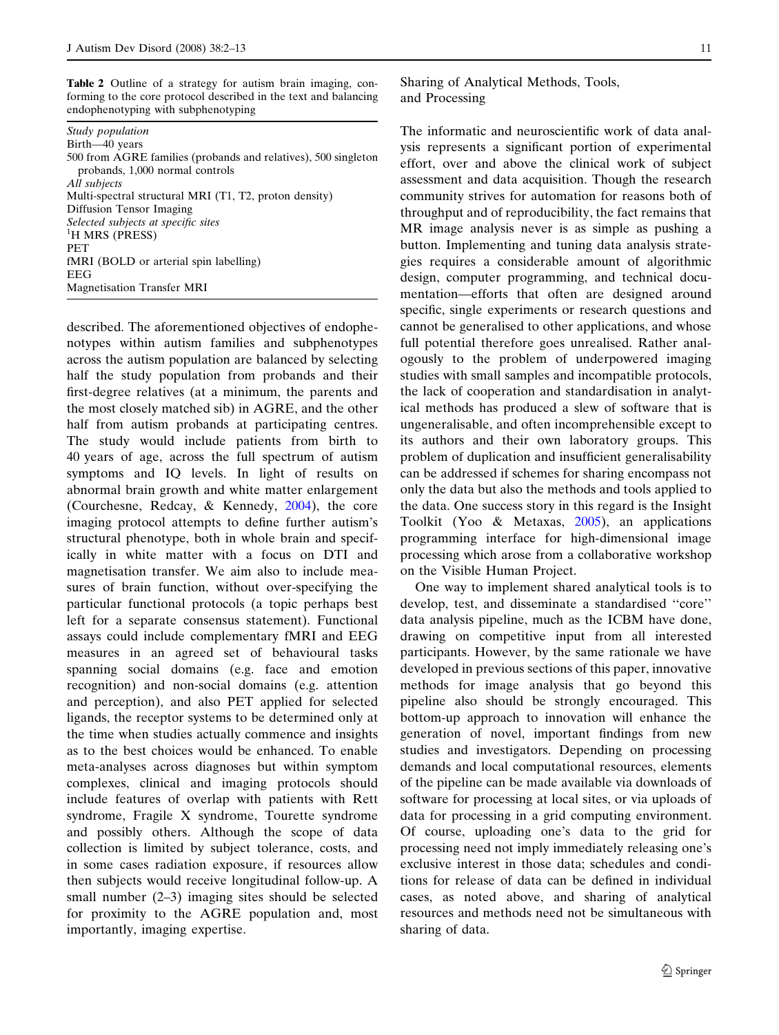<span id="page-9-0"></span>Table 2 Outline of a strategy for autism brain imaging, conforming to the core protocol described in the text and balancing endophenotyping with subphenotyping

Study population Birth—40 years 500 from AGRE families (probands and relatives), 500 singleton probands, 1,000 normal controls All subjects Multi-spectral structural MRI (T1, T2, proton density) Diffusion Tensor Imaging Selected subjects at specific sites <sup>1</sup>H MRS (PRESS) PET fMRI (BOLD or arterial spin labelling) EEG Magnetisation Transfer MRI

described. The aforementioned objectives of endophenotypes within autism families and subphenotypes across the autism population are balanced by selecting half the study population from probands and their first-degree relatives (at a minimum, the parents and the most closely matched sib) in AGRE, and the other half from autism probands at participating centres. The study would include patients from birth to 40 years of age, across the full spectrum of autism symptoms and IQ levels. In light of results on abnormal brain growth and white matter enlargement (Courchesne, Redcay, & Kennedy, [2004](#page-10-0)), the core imaging protocol attempts to define further autism's structural phenotype, both in whole brain and specifically in white matter with a focus on DTI and magnetisation transfer. We aim also to include measures of brain function, without over-specifying the particular functional protocols (a topic perhaps best left for a separate consensus statement). Functional assays could include complementary fMRI and EEG measures in an agreed set of behavioural tasks spanning social domains (e.g. face and emotion recognition) and non-social domains (e.g. attention and perception), and also PET applied for selected ligands, the receptor systems to be determined only at the time when studies actually commence and insights as to the best choices would be enhanced. To enable meta-analyses across diagnoses but within symptom complexes, clinical and imaging protocols should include features of overlap with patients with Rett syndrome, Fragile X syndrome, Tourette syndrome and possibly others. Although the scope of data collection is limited by subject tolerance, costs, and in some cases radiation exposure, if resources allow then subjects would receive longitudinal follow-up. A small number (2–3) imaging sites should be selected for proximity to the AGRE population and, most importantly, imaging expertise.

Sharing of Analytical Methods, Tools, and Processing

The informatic and neuroscientific work of data analysis represents a significant portion of experimental effort, over and above the clinical work of subject assessment and data acquisition. Though the research community strives for automation for reasons both of throughput and of reproducibility, the fact remains that MR image analysis never is as simple as pushing a button. Implementing and tuning data analysis strategies requires a considerable amount of algorithmic design, computer programming, and technical documentation—efforts that often are designed around specific, single experiments or research questions and cannot be generalised to other applications, and whose full potential therefore goes unrealised. Rather analogously to the problem of underpowered imaging studies with small samples and incompatible protocols, the lack of cooperation and standardisation in analytical methods has produced a slew of software that is ungeneralisable, and often incomprehensible except to its authors and their own laboratory groups. This problem of duplication and insufficient generalisability can be addressed if schemes for sharing encompass not only the data but also the methods and tools applied to the data. One success story in this regard is the Insight Toolkit (Yoo & Metaxas, [2005\)](#page-11-0), an applications programming interface for high-dimensional image processing which arose from a collaborative workshop on the Visible Human Project.

One way to implement shared analytical tools is to develop, test, and disseminate a standardised ''core'' data analysis pipeline, much as the ICBM have done, drawing on competitive input from all interested participants. However, by the same rationale we have developed in previous sections of this paper, innovative methods for image analysis that go beyond this pipeline also should be strongly encouraged. This bottom-up approach to innovation will enhance the generation of novel, important findings from new studies and investigators. Depending on processing demands and local computational resources, elements of the pipeline can be made available via downloads of software for processing at local sites, or via uploads of data for processing in a grid computing environment. Of course, uploading one's data to the grid for processing need not imply immediately releasing one's exclusive interest in those data; schedules and conditions for release of data can be defined in individual cases, as noted above, and sharing of analytical resources and methods need not be simultaneous with sharing of data.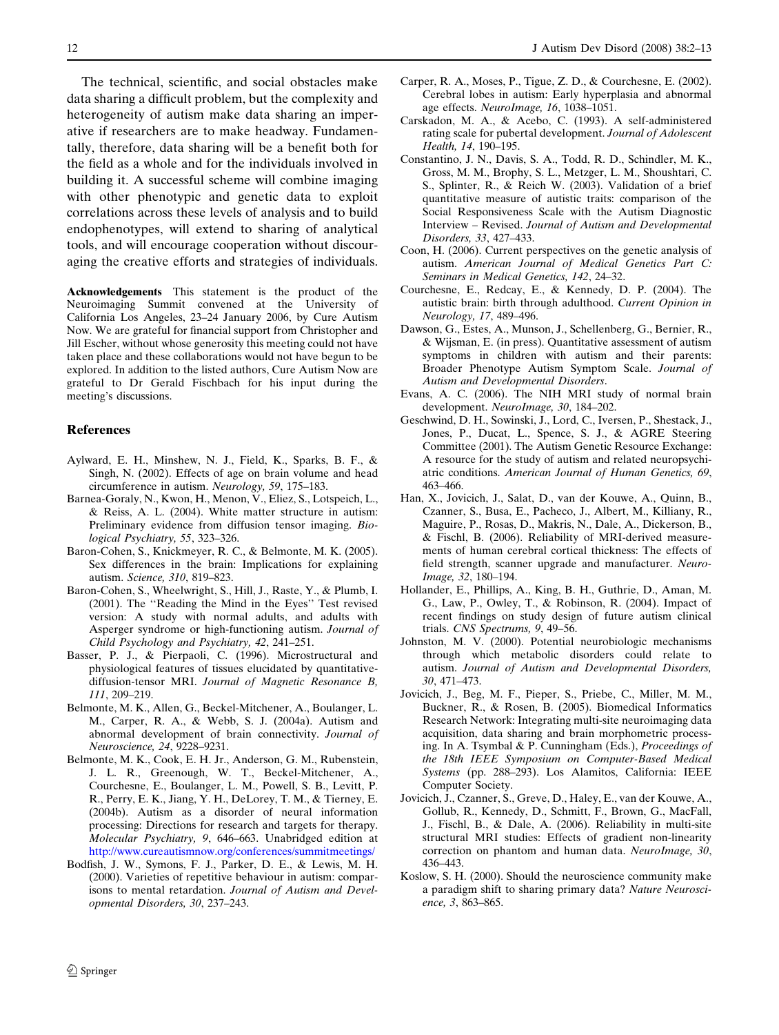<span id="page-10-0"></span>The technical, scientific, and social obstacles make data sharing a difficult problem, but the complexity and heterogeneity of autism make data sharing an imperative if researchers are to make headway. Fundamentally, therefore, data sharing will be a benefit both for the field as a whole and for the individuals involved in building it. A successful scheme will combine imaging with other phenotypic and genetic data to exploit correlations across these levels of analysis and to build endophenotypes, will extend to sharing of analytical tools, and will encourage cooperation without discouraging the creative efforts and strategies of individuals.

Acknowledgements This statement is the product of the Neuroimaging Summit convened at the University of California Los Angeles, 23–24 January 2006, by Cure Autism Now. We are grateful for financial support from Christopher and Jill Escher, without whose generosity this meeting could not have taken place and these collaborations would not have begun to be explored. In addition to the listed authors, Cure Autism Now are grateful to Dr Gerald Fischbach for his input during the meeting's discussions.

## References

- Aylward, E. H., Minshew, N. J., Field, K., Sparks, B. F., & Singh, N. (2002). Effects of age on brain volume and head circumference in autism. Neurology, 59, 175–183.
- Barnea-Goraly, N., Kwon, H., Menon, V., Eliez, S., Lotspeich, L., & Reiss, A. L. (2004). White matter structure in autism: Preliminary evidence from diffusion tensor imaging. Biological Psychiatry, 55, 323–326.
- Baron-Cohen, S., Knickmeyer, R. C., & Belmonte, M. K. (2005). Sex differences in the brain: Implications for explaining autism. Science, 310, 819–823.
- Baron-Cohen, S., Wheelwright, S., Hill, J., Raste, Y., & Plumb, I. (2001). The ''Reading the Mind in the Eyes'' Test revised version: A study with normal adults, and adults with Asperger syndrome or high-functioning autism. Journal of Child Psychology and Psychiatry, 42, 241–251.
- Basser, P. J., & Pierpaoli, C. (1996). Microstructural and physiological features of tissues elucidated by quantitativediffusion-tensor MRI. Journal of Magnetic Resonance B, 111, 209–219.
- Belmonte, M. K., Allen, G., Beckel-Mitchener, A., Boulanger, L. M., Carper, R. A., & Webb, S. J. (2004a). Autism and abnormal development of brain connectivity. Journal of Neuroscience, 24, 9228–9231.
- Belmonte, M. K., Cook, E. H. Jr., Anderson, G. M., Rubenstein, J. L. R., Greenough, W. T., Beckel-Mitchener, A., Courchesne, E., Boulanger, L. M., Powell, S. B., Levitt, P. R., Perry, E. K., Jiang, Y. H., DeLorey, T. M., & Tierney, E. (2004b). Autism as a disorder of neural information processing: Directions for research and targets for therapy. Molecular Psychiatry, 9, 646–663. Unabridged edition at <http://www.cureautismnow.org/conferences/summitmeetings/>
- Bodfish, J. W., Symons, F. J., Parker, D. E., & Lewis, M. H. (2000). Varieties of repetitive behaviour in autism: comparisons to mental retardation. Journal of Autism and Developmental Disorders, 30, 237–243.
- Carper, R. A., Moses, P., Tigue, Z. D., & Courchesne, E. (2002). Cerebral lobes in autism: Early hyperplasia and abnormal age effects. NeuroImage, 16, 1038–1051.
- Carskadon, M. A., & Acebo, C. (1993). A self-administered rating scale for pubertal development. Journal of Adolescent Health, 14, 190–195.
- Constantino, J. N., Davis, S. A., Todd, R. D., Schindler, M. K., Gross, M. M., Brophy, S. L., Metzger, L. M., Shoushtari, C. S., Splinter, R., & Reich W. (2003). Validation of a brief quantitative measure of autistic traits: comparison of the Social Responsiveness Scale with the Autism Diagnostic Interview – Revised. Journal of Autism and Developmental Disorders, 33, 427–433.
- Coon, H. (2006). Current perspectives on the genetic analysis of autism. American Journal of Medical Genetics Part C: Seminars in Medical Genetics, 142, 24–32.
- Courchesne, E., Redcay, E., & Kennedy, D. P. (2004). The autistic brain: birth through adulthood. Current Opinion in Neurology, 17, 489–496.
- Dawson, G., Estes, A., Munson, J., Schellenberg, G., Bernier, R., & Wijsman, E. (in press). Quantitative assessment of autism symptoms in children with autism and their parents: Broader Phenotype Autism Symptom Scale. Journal of Autism and Developmental Disorders.
- Evans, A. C. (2006). The NIH MRI study of normal brain development. NeuroImage, 30, 184–202.
- Geschwind, D. H., Sowinski, J., Lord, C., Iversen, P., Shestack, J., Jones, P., Ducat, L., Spence, S. J., & AGRE Steering Committee (2001). The Autism Genetic Resource Exchange: A resource for the study of autism and related neuropsychiatric conditions. American Journal of Human Genetics, 69, 463–466.
- Han, X., Jovicich, J., Salat, D., van der Kouwe, A., Quinn, B., Czanner, S., Busa, E., Pacheco, J., Albert, M., Killiany, R., Maguire, P., Rosas, D., Makris, N., Dale, A., Dickerson, B., & Fischl, B. (2006). Reliability of MRI-derived measurements of human cerebral cortical thickness: The effects of field strength, scanner upgrade and manufacturer. Neuro-Image, 32, 180–194.
- Hollander, E., Phillips, A., King, B. H., Guthrie, D., Aman, M. G., Law, P., Owley, T., & Robinson, R. (2004). Impact of recent findings on study design of future autism clinical trials. CNS Spectrums, 9, 49–56.
- Johnston, M. V. (2000). Potential neurobiologic mechanisms through which metabolic disorders could relate to autism. Journal of Autism and Developmental Disorders, 30, 471–473.
- Jovicich, J., Beg, M. F., Pieper, S., Priebe, C., Miller, M. M., Buckner, R., & Rosen, B. (2005). Biomedical Informatics Research Network: Integrating multi-site neuroimaging data acquisition, data sharing and brain morphometric processing. In A. Tsymbal & P. Cunningham (Eds.), Proceedings of the 18th IEEE Symposium on Computer-Based Medical Systems (pp. 288–293). Los Alamitos, California: IEEE Computer Society.
- Jovicich, J., Czanner, S., Greve, D., Haley, E., van der Kouwe, A., Gollub, R., Kennedy, D., Schmitt, F., Brown, G., MacFall, J., Fischl, B., & Dale, A. (2006). Reliability in multi-site structural MRI studies: Effects of gradient non-linearity correction on phantom and human data. NeuroImage, 30, 436–443.
- Koslow, S. H. (2000). Should the neuroscience community make a paradigm shift to sharing primary data? Nature Neuroscience, 3, 863–865.